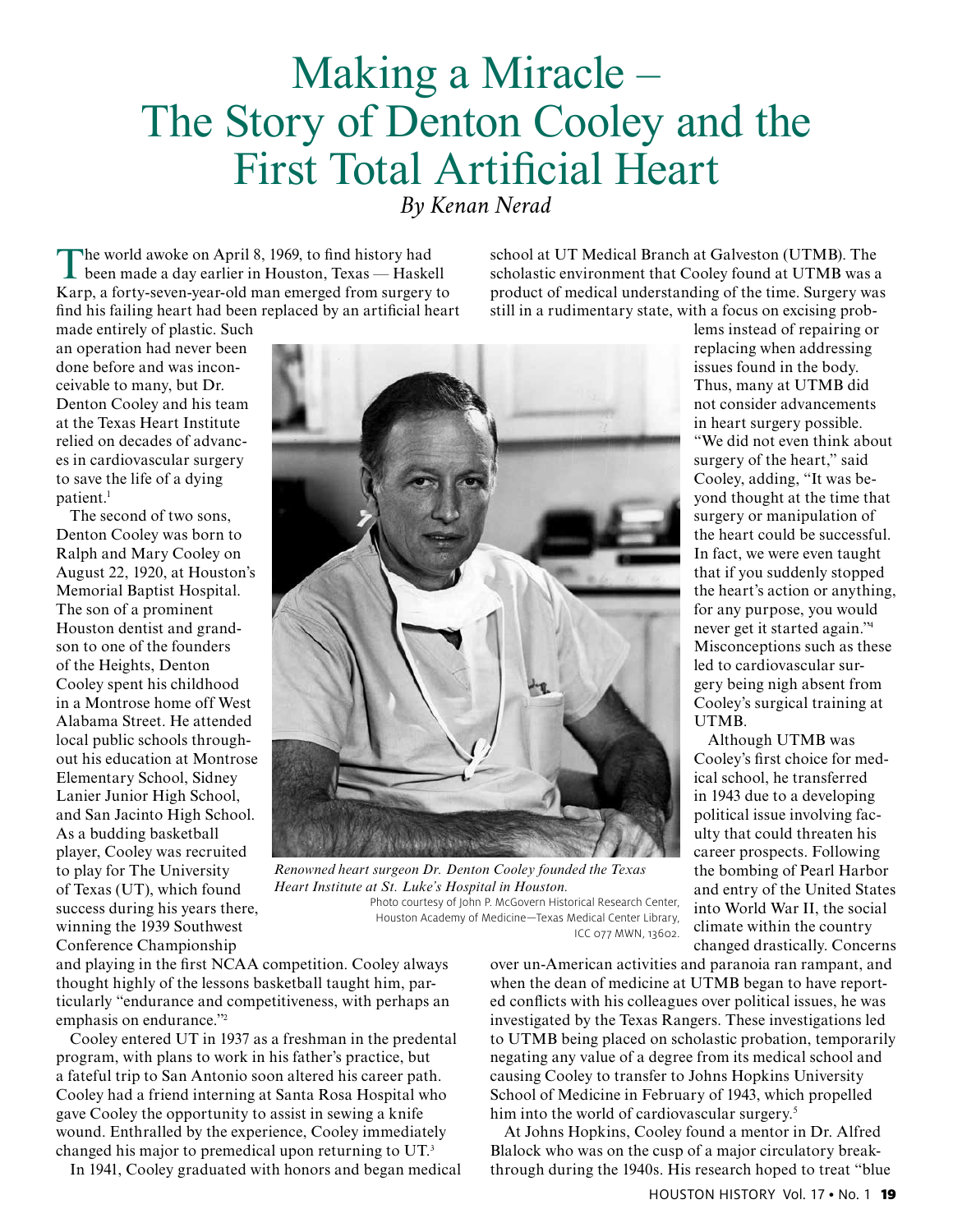## Making a Miracle – The Story of Denton Cooley and the First Total Artificial Heart *By Kenan Nerad*

The world awoke on April 8, 1969, to find history had<br>been made a day earlier in Houston, Texas — Haskell Karp, a forty-seven-year-old man emerged from surgery to find his failing heart had been replaced by an artificial heart

school at UT Medical Branch at Galveston (UTMB). The scholastic environment that Cooley found at UTMB was a product of medical understanding of the time. Surgery was still in a rudimentary state, with a focus on excising prob-

made entirely of plastic. Such an operation had never been done before and was inconceivable to many, but Dr. Denton Cooley and his team at the Texas Heart Institute relied on decades of advances in cardiovascular surgery to save the life of a dying patient.<sup>1</sup>

The second of two sons, Denton Cooley was born to Ralph and Mary Cooley on August 22, 1920, at Houston's Memorial Baptist Hospital. The son of a prominent Houston dentist and grandson to one of the founders of the Heights, Denton Cooley spent his childhood in a Montrose home off West Alabama Street. He attended local public schools throughout his education at Montrose Elementary School, Sidney Lanier Junior High School, and San Jacinto High School. As a budding basketball player, Cooley was recruited to play for The University of Texas (UT), which found success during his years there, winning the 1939 Southwest Conference Championship



*Renowned heart surgeon Dr. Denton Cooley founded the Texas Heart Institute at St. Luke's Hospital in Houston.*  Photo courtesy of John P. McGovern Historical Research Center, Houston Academy of Medicine—Texas Medical Center Library, ICC 077 MWN, 13602.

and playing in the first NCAA competition. Cooley always thought highly of the lessons basketball taught him, particularly "endurance and competitiveness, with perhaps an emphasis on endurance."<sup>2</sup>

Cooley entered UT in 1937 as a freshman in the predental program, with plans to work in his father's practice, but a fateful trip to San Antonio soon altered his career path. Cooley had a friend interning at Santa Rosa Hospital who gave Cooley the opportunity to assist in sewing a knife wound. Enthralled by the experience, Cooley immediately changed his major to premedical upon returning to UT.<sup>3</sup>

In 1941, Cooley graduated with honors and began medical

over un-American activities and paranoia ran rampant, and when the dean of medicine at UTMB began to have reported conflicts with his colleagues over political issues, he was investigated by the Texas Rangers. These investigations led to UTMB being placed on scholastic probation, temporarily negating any value of a degree from its medical school and causing Cooley to transfer to Johns Hopkins University School of Medicine in February of 1943, which propelled him into the world of cardiovascular surgery.<sup>5</sup>

At Johns Hopkins, Cooley found a mentor in Dr. Alfred Blalock who was on the cusp of a major circulatory breakthrough during the 1940s. His research hoped to treat "blue

issues found in the body. Thus, many at UTMB did not consider advancements in heart surgery possible. "We did not even think about surgery of the heart," said Cooley, adding, "It was beyond thought at the time that surgery or manipulation of the heart could be successful. In fact, we were even taught that if you suddenly stopped the heart's action or anything, for any purpose, you would never get it started again."<sup>4</sup> Misconceptions such as these led to cardiovascular surgery being nigh absent from Cooley's surgical training at UTMB.

lems instead of repairing or replacing when addressing

Although UTMB was Cooley's first choice for medical school, he transferred in 1943 due to a developing political issue involving faculty that could threaten his career prospects. Following the bombing of Pearl Harbor and entry of the United States into World War II, the social climate within the country changed drastically. Concerns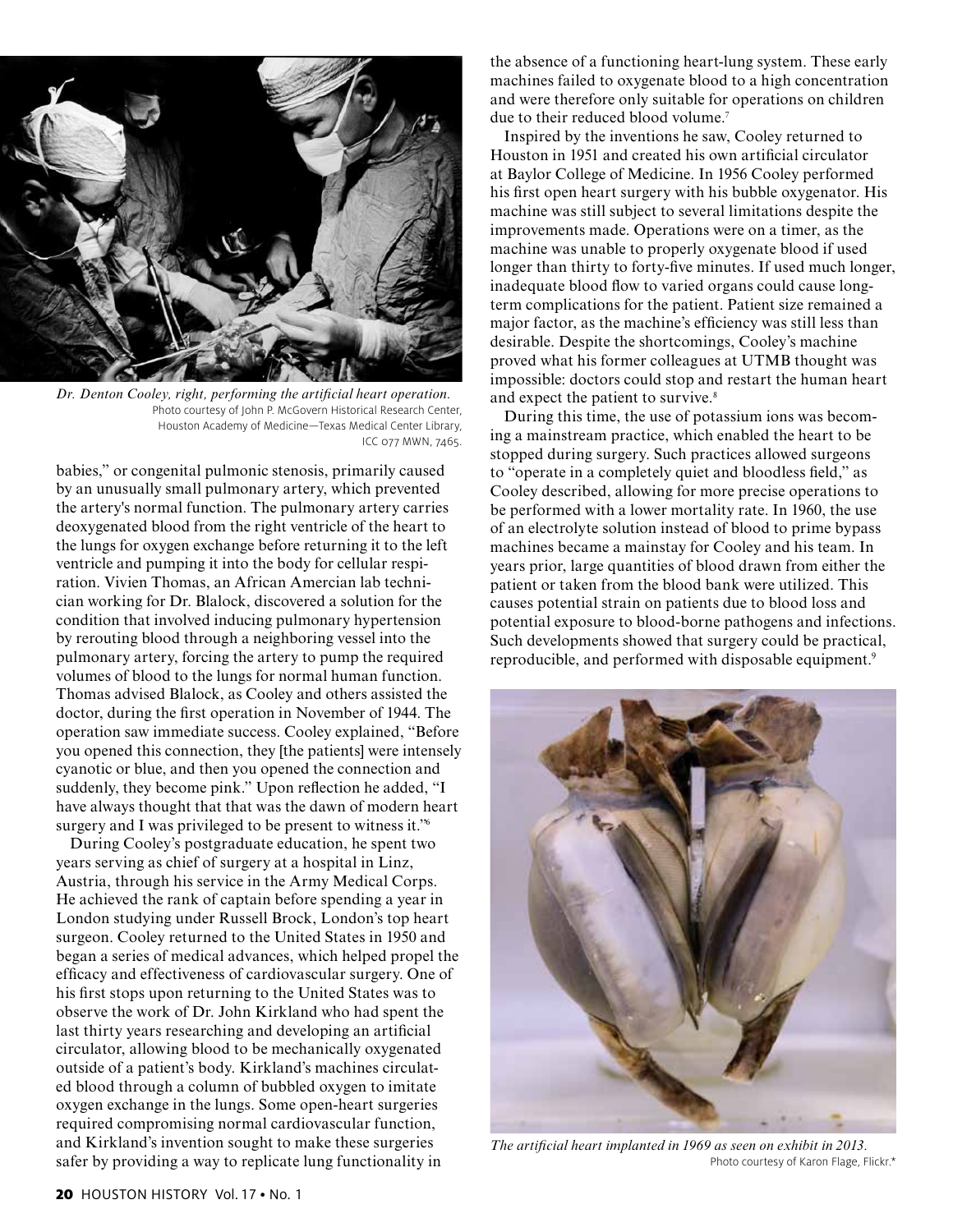

*Dr. Denton Cooley, right, performing the artificial heart operation.*  Photo courtesy of John P. McGovern Historical Research Center, Houston Academy of Medicine—Texas Medical Center Library, ICC 077 MWN, 7465.

babies," or congenital pulmonic stenosis, primarily caused by an unusually small pulmonary artery, which prevented the artery's normal function. The pulmonary artery carries deoxygenated blood from the right ventricle of the heart to the lungs for oxygen exchange before returning it to the left ventricle and pumping it into the body for cellular respiration. Vivien Thomas, an African Amercian lab technician working for Dr. Blalock, discovered a solution for the condition that involved inducing pulmonary hypertension by rerouting blood through a neighboring vessel into the pulmonary artery, forcing the artery to pump the required volumes of blood to the lungs for normal human function. Thomas advised Blalock, as Cooley and others assisted the doctor, during the first operation in November of 1944. The operation saw immediate success. Cooley explained, "Before you opened this connection, they [the patients] were intensely cyanotic or blue, and then you opened the connection and suddenly, they become pink." Upon reflection he added, "I have always thought that that was the dawn of modern heart surgery and I was privileged to be present to witness it."<sup>6</sup>

During Cooley's postgraduate education, he spent two years serving as chief of surgery at a hospital in Linz, Austria, through his service in the Army Medical Corps. He achieved the rank of captain before spending a year in London studying under Russell Brock, London's top heart surgeon. Cooley returned to the United States in 1950 and began a series of medical advances, which helped propel the efficacy and effectiveness of cardiovascular surgery. One of his first stops upon returning to the United States was to observe the work of Dr. John Kirkland who had spent the last thirty years researching and developing an artificial circulator, allowing blood to be mechanically oxygenated outside of a patient's body. Kirkland's machines circulated blood through a column of bubbled oxygen to imitate oxygen exchange in the lungs. Some open-heart surgeries required compromising normal cardiovascular function, and Kirkland's invention sought to make these surgeries safer by providing a way to replicate lung functionality in

the absence of a functioning heart-lung system. These early machines failed to oxygenate blood to a high concentration and were therefore only suitable for operations on children due to their reduced blood volume.<sup>7</sup>

Inspired by the inventions he saw, Cooley returned to Houston in 1951 and created his own artificial circulator at Baylor College of Medicine. In 1956 Cooley performed his first open heart surgery with his bubble oxygenator. His machine was still subject to several limitations despite the improvements made. Operations were on a timer, as the machine was unable to properly oxygenate blood if used longer than thirty to forty-five minutes. If used much longer, inadequate blood flow to varied organs could cause longterm complications for the patient. Patient size remained a major factor, as the machine's efficiency was still less than desirable. Despite the shortcomings, Cooley's machine proved what his former colleagues at UTMB thought was impossible: doctors could stop and restart the human heart and expect the patient to survive.<sup>8</sup>

During this time, the use of potassium ions was becoming a mainstream practice, which enabled the heart to be stopped during surgery. Such practices allowed surgeons to "operate in a completely quiet and bloodless field," as Cooley described, allowing for more precise operations to be performed with a lower mortality rate. In 1960, the use of an electrolyte solution instead of blood to prime bypass machines became a mainstay for Cooley and his team. In years prior, large quantities of blood drawn from either the patient or taken from the blood bank were utilized. This causes potential strain on patients due to blood loss and potential exposure to blood-borne pathogens and infections. Such developments showed that surgery could be practical, reproducible, and performed with disposable equipment.9



*The artificial heart implanted in 1969 as seen on exhibit in 2013.* Photo courtesy of Karon Flage, Flickr.\*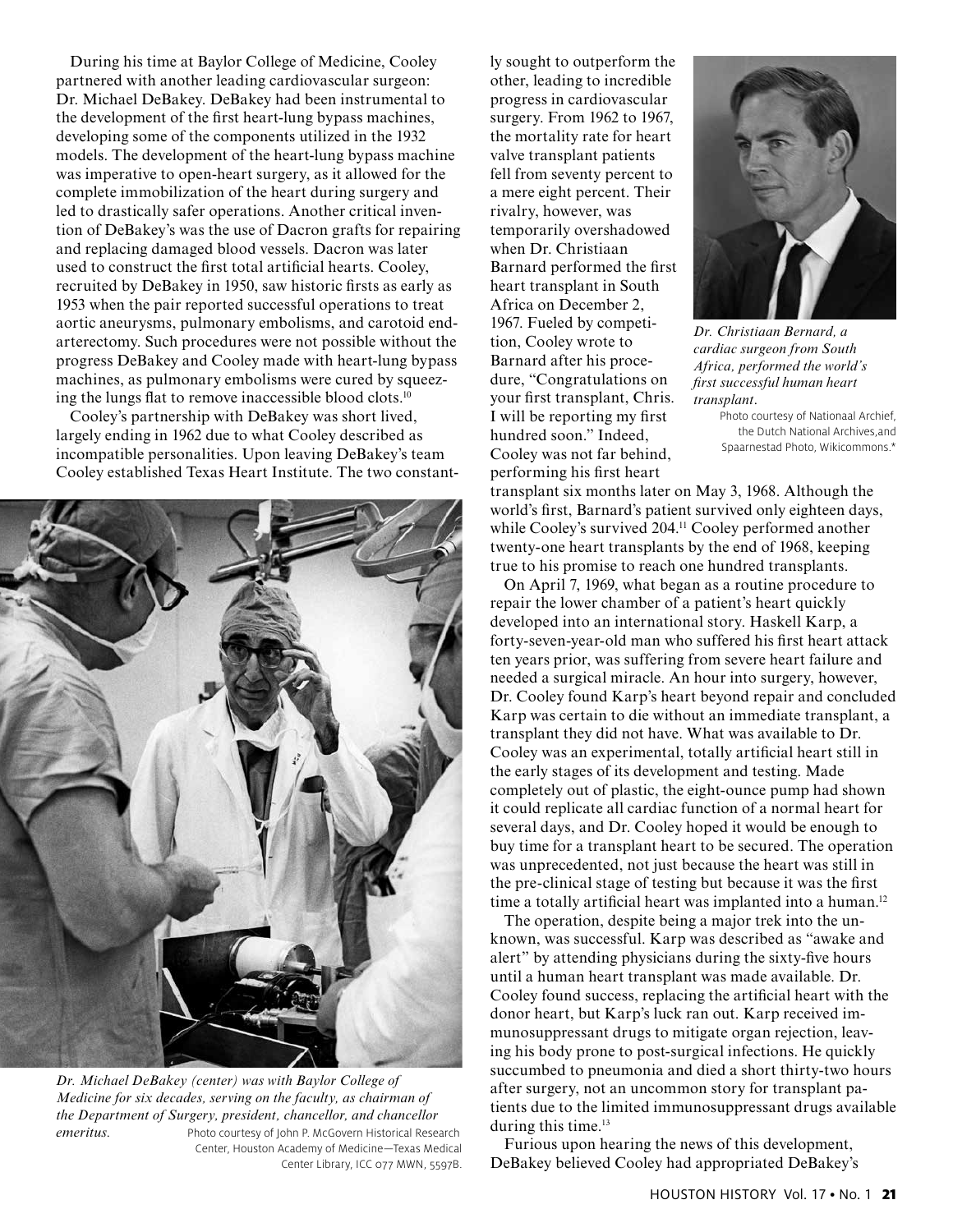During his time at Baylor College of Medicine, Cooley partnered with another leading cardiovascular surgeon: Dr. Michael DeBakey. DeBakey had been instrumental to the development of the first heart-lung bypass machines, developing some of the components utilized in the 1932 models. The development of the heart-lung bypass machine was imperative to open-heart surgery, as it allowed for the complete immobilization of the heart during surgery and led to drastically safer operations. Another critical invention of DeBakey's was the use of Dacron grafts for repairing and replacing damaged blood vessels. Dacron was later used to construct the first total artificial hearts. Cooley, recruited by DeBakey in 1950, saw historic firsts as early as 1953 when the pair reported successful operations to treat aortic aneurysms, pulmonary embolisms, and carotoid endarterectomy. Such procedures were not possible without the progress DeBakey and Cooley made with heart-lung bypass machines, as pulmonary embolisms were cured by squeezing the lungs flat to remove inaccessible blood clots.10

Cooley's partnership with DeBakey was short lived, largely ending in 1962 due to what Cooley described as incompatible personalities. Upon leaving DeBakey's team Cooley established Texas Heart Institute. The two constant-



*Dr. Michael DeBakey (center) was with Baylor College of Medicine for six decades, serving on the faculty, as chairman of the Department of Surgery, president, chancellor, and chancellor emeritus.* Photo courtesy of John P. McGovern Historical Research Center, Houston Academy of Medicine—Texas Medical Center Library, ICC 077 MWN, 5597B.

ly sought to outperform the other, leading to incredible progress in cardiovascular surgery. From 1962 to 1967, the mortality rate for heart valve transplant patients fell from seventy percent to a mere eight percent. Their rivalry, however, was temporarily overshadowed when Dr. Christiaan Barnard performed the first heart transplant in South Africa on December 2, 1967. Fueled by competition, Cooley wrote to Barnard after his procedure, "Congratulations on your first transplant, Chris. I will be reporting my first hundred soon." Indeed, Cooley was not far behind, performing his first heart



*Dr. Christiaan Bernard, a cardiac surgeon from South Africa, performed the world's first successful human heart transplant*.

Photo courtesy of Nationaal Archief, the Dutch National Archives,and Spaarnestad Photo, Wikicommons.\*

transplant six months later on May 3, 1968. Although the world's first, Barnard's patient survived only eighteen days, while Cooley's survived 204.<sup>11</sup> Cooley performed another twenty-one heart transplants by the end of 1968, keeping true to his promise to reach one hundred transplants.

On April 7, 1969, what began as a routine procedure to repair the lower chamber of a patient's heart quickly developed into an international story. Haskell Karp, a forty-seven-year-old man who suffered his first heart attack ten years prior, was suffering from severe heart failure and needed a surgical miracle. An hour into surgery, however, Dr. Cooley found Karp's heart beyond repair and concluded Karp was certain to die without an immediate transplant, a transplant they did not have. What was available to Dr. Cooley was an experimental, totally artificial heart still in the early stages of its development and testing. Made completely out of plastic, the eight-ounce pump had shown it could replicate all cardiac function of a normal heart for several days, and Dr. Cooley hoped it would be enough to buy time for a transplant heart to be secured. The operation was unprecedented, not just because the heart was still in the pre-clinical stage of testing but because it was the first time a totally artificial heart was implanted into a human.<sup>12</sup>

The operation, despite being a major trek into the unknown, was successful. Karp was described as "awake and alert" by attending physicians during the sixty-five hours until a human heart transplant was made available. Dr. Cooley found success, replacing the artificial heart with the donor heart, but Karp's luck ran out. Karp received immunosuppressant drugs to mitigate organ rejection, leaving his body prone to post-surgical infections. He quickly succumbed to pneumonia and died a short thirty-two hours after surgery, not an uncommon story for transplant patients due to the limited immunosuppressant drugs available during this time.<sup>13</sup>

Furious upon hearing the news of this development, DeBakey believed Cooley had appropriated DeBakey's